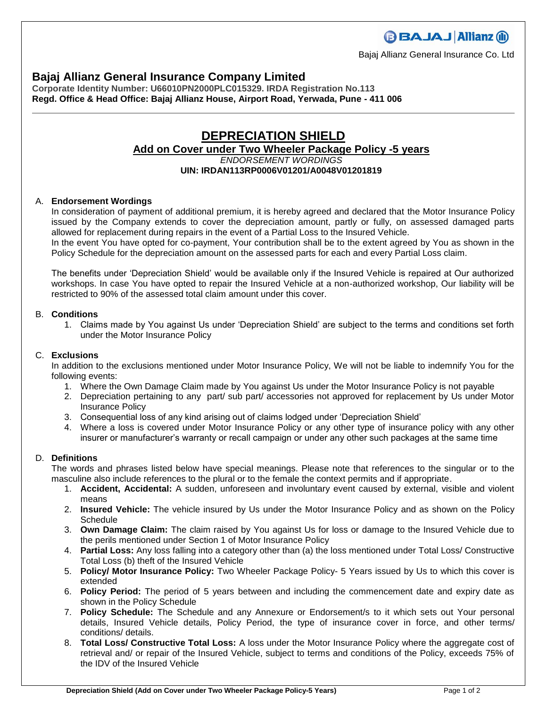### **Bajaj Allianz General Insurance Company Limited**

**Corporate Identity Number: U66010PN2000PLC015329. IRDA Registration No.113 Regd. Office & Head Office: Bajaj Allianz House, Airport Road, Yerwada, Pune - 411 006**

## **DEPRECIATION SHIELD Add on Cover under Two Wheeler Package Policy -5 years** *ENDORSEMENT WORDINGS*

#### **UIN: IRDAN113RP0006V01201/A0048V01201819**

#### A. **Endorsement Wordings**

In consideration of payment of additional premium, it is hereby agreed and declared that the Motor Insurance Policy issued by the Company extends to cover the depreciation amount, partly or fully, on assessed damaged parts allowed for replacement during repairs in the event of a Partial Loss to the Insured Vehicle.

In the event You have opted for co-payment, Your contribution shall be to the extent agreed by You as shown in the Policy Schedule for the depreciation amount on the assessed parts for each and every Partial Loss claim.

The benefits under 'Depreciation Shield' would be available only if the Insured Vehicle is repaired at Our authorized workshops. In case You have opted to repair the Insured Vehicle at a non-authorized workshop, Our liability will be restricted to 90% of the assessed total claim amount under this cover.

#### B. **Conditions**

1. Claims made by You against Us under 'Depreciation Shield' are subject to the terms and conditions set forth under the Motor Insurance Policy

#### C. **Exclusions**

In addition to the exclusions mentioned under Motor Insurance Policy, We will not be liable to indemnify You for the following events:

- 1. Where the Own Damage Claim made by You against Us under the Motor Insurance Policy is not payable
- 2. Depreciation pertaining to any part/ sub part/ accessories not approved for replacement by Us under Motor Insurance Policy
- 3. Consequential loss of any kind arising out of claims lodged under 'Depreciation Shield'
- 4. Where a loss is covered under Motor Insurance Policy or any other type of insurance policy with any other insurer or manufacturer's warranty or recall campaign or under any other such packages at the same time

#### D. **Definitions**

The words and phrases listed below have special meanings. Please note that references to the singular or to the masculine also include references to the plural or to the female the context permits and if appropriate.

- 1. **Accident, Accidental:** A sudden, unforeseen and involuntary event caused by external, visible and violent means
- 2. **Insured Vehicle:** The vehicle insured by Us under the Motor Insurance Policy and as shown on the Policy **Schedule**
- 3. **Own Damage Claim:** The claim raised by You against Us for loss or damage to the Insured Vehicle due to the perils mentioned under Section 1 of Motor Insurance Policy
- 4. **Partial Loss:** Any loss falling into a category other than (a) the loss mentioned under Total Loss/ Constructive Total Loss (b) theft of the Insured Vehicle
- 5. **Policy/ Motor Insurance Policy:** Two Wheeler Package Policy- 5 Years issued by Us to which this cover is extended
- 6. **Policy Period:** The period of 5 years between and including the commencement date and expiry date as shown in the Policy Schedule
- 7. **Policy Schedule:** The Schedule and any Annexure or Endorsement/s to it which sets out Your personal details, Insured Vehicle details, Policy Period, the type of insurance cover in force, and other terms/ conditions/ details.
- 8. **Total Loss/ Constructive Total Loss:** A loss under the Motor Insurance Policy where the aggregate cost of retrieval and/ or repair of the Insured Vehicle, subject to terms and conditions of the Policy, exceeds 75% of the IDV of the Insured Vehicle

**BBAJAJ Allianz (ii)** 

Bajaj Allianz General Insurance Co. Ltd